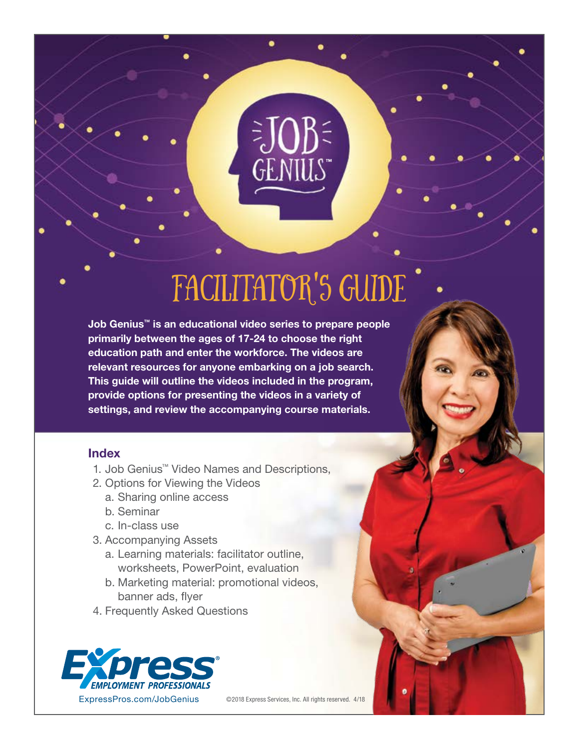# facilitator's Guide

Job Genius™ is an educational video series to prepare people primarily between the ages of 17-24 to choose the right education path and enter the workforce. The videos are relevant resources for anyone embarking on a job search. This guide will outline the videos included in the program, provide options for presenting the videos in a variety of settings, and review the accompanying course materials.

### Index

- 1. Job Genius™ Video Names and Descriptions,
- 2. Options for Viewing the Videos
	- a. Sharing online access
	- b. Seminar
	- c. In-class use
- 3. Accompanying Assets
	- a. Learning materials: facilitator outline, worksheets, PowerPoint, evaluation
	- b. Marketing material: promotional videos, banner ads, flyer
- 4. Frequently Asked Questions



©2018 Express Services, Inc. All rights reserved. 4/18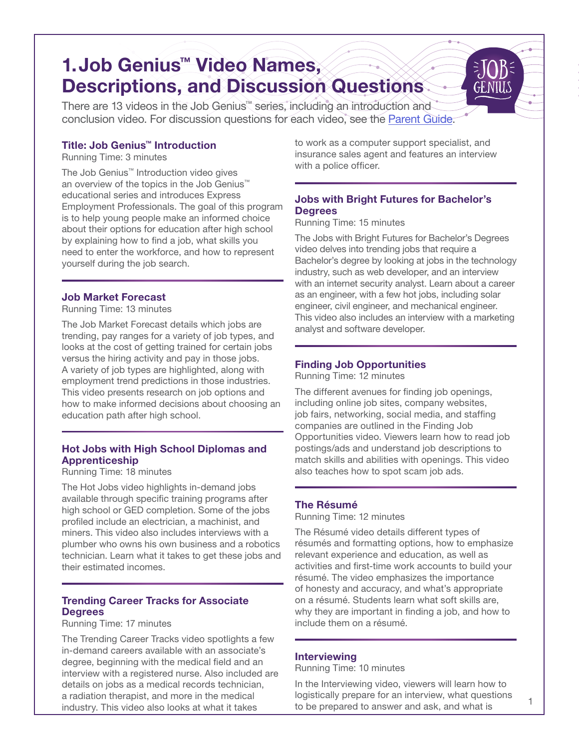# 1.Job Genius™ Video Names, Descriptions, and Discussion Questions

There are 13 videos in the Job Genius™ series, including an introduction and conclusion video. For discussion questions for each video, see the [Parent Guide](https://expresspros.com/Job-Genius/Parent-Discussion-Guide.aspx).

#### Title: Job Genius™ Introduction

Running Time: 3 minutes

The Job Genius™ Introduction video gives an overview of the topics in the Job Genius™ educational series and introduces Express Employment Professionals. The goal of this program is to help young people make an informed choice about their options for education after high school by explaining how to find a job, what skills you need to enter the workforce, and how to represent yourself during the job search.

#### Job Market Forecast

Running Time: 13 minutes

The Job Market Forecast details which jobs are trending, pay ranges for a variety of job types, and looks at the cost of getting trained for certain jobs versus the hiring activity and pay in those jobs. A variety of job types are highlighted, along with employment trend predictions in those industries. This video presents research on job options and how to make informed decisions about choosing an education path after high school.

#### Hot Jobs with High School Diplomas and Apprenticeship

#### Running Time: 18 minutes

The Hot Jobs video highlights in-demand jobs available through specific training programs after high school or GED completion. Some of the jobs profiled include an electrician, a machinist, and miners. This video also includes interviews with a plumber who owns his own business and a robotics technician. Learn what it takes to get these jobs and their estimated incomes.

#### Trending Career Tracks for Associate **Degrees**

Running Time: 17 minutes

The Trending Career Tracks video spotlights a few in-demand careers available with an associate's degree, beginning with the medical field and an interview with a registered nurse. Also included are details on jobs as a medical records technician, a radiation therapist, and more in the medical industry. This video also looks at what it takes

to work as a computer support specialist, and insurance sales agent and features an interview with a police officer.

#### Jobs with Bright Futures for Bachelor's **Degrees**

Running Time: 15 minutes

The Jobs with Bright Futures for Bachelor's Degrees video delves into trending jobs that require a Bachelor's degree by looking at jobs in the technology industry, such as web developer, and an interview with an internet security analyst. Learn about a career as an engineer, with a few hot jobs, including solar engineer, civil engineer, and mechanical engineer. This video also includes an interview with a marketing analyst and software developer.

#### Finding Job Opportunities

Running Time: 12 minutes

The different avenues for finding job openings, including online job sites, company websites, job fairs, networking, social media, and staffing companies are outlined in the Finding Job Opportunities video. Viewers learn how to read job postings/ads and understand job descriptions to match skills and abilities with openings. This video also teaches how to spot scam job ads.

#### The Résumé

Running Time: 12 minutes

The Résumé video details different types of résumés and formatting options, how to emphasize relevant experience and education, as well as activities and first-time work accounts to build your résumé. The video emphasizes the importance of honesty and accuracy, and what's appropriate on a résumé. Students learn what soft skills are, why they are important in finding a job, and how to include them on a résumé.

#### Interviewing

Running Time: 10 minutes

In the Interviewing video, viewers will learn how to logistically prepare for an interview, what questions to be prepared to answer and ask, and what is

1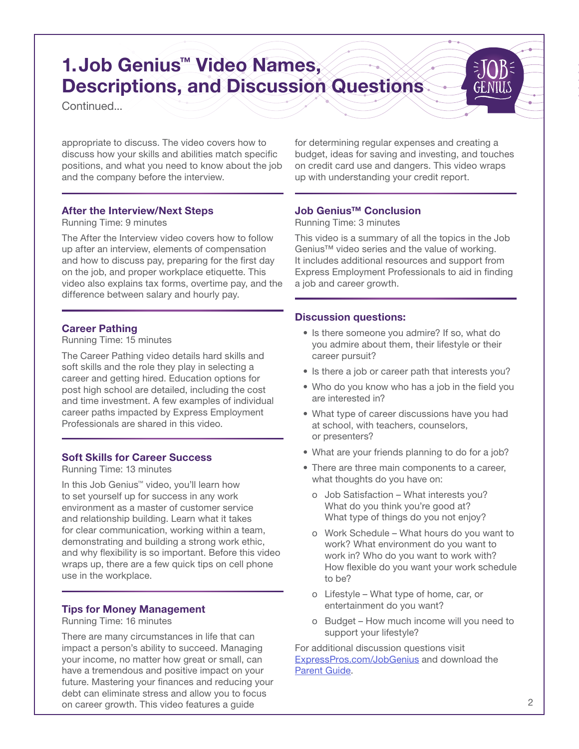## 1.Job Genius™ Video Names, Descriptions, and Discussion Questions

Continued...

appropriate to discuss. The video covers how to discuss how your skills and abilities match specific positions, and what you need to know about the job and the company before the interview.

#### After the Interview/Next Steps

Running Time: 9 minutes

The After the Interview video covers how to follow up after an interview, elements of compensation and how to discuss pay, preparing for the first day on the job, and proper workplace etiquette. This video also explains tax forms, overtime pay, and the difference between salary and hourly pay.

#### Career Pathing

Running Time: 15 minutes

The Career Pathing video details hard skills and soft skills and the role they play in selecting a career and getting hired. Education options for post high school are detailed, including the cost and time investment. A few examples of individual career paths impacted by Express Employment Professionals are shared in this video.

#### Soft Skills for Career Success

Running Time: 13 minutes

In this Job Genius™ video, you'll learn how to set yourself up for success in any work environment as a master of customer service and relationship building. Learn what it takes for clear communication, working within a team, demonstrating and building a strong work ethic, and why flexibility is so important. Before this video wraps up, there are a few quick tips on cell phone use in the workplace.

#### Tips for Money Management

Running Time: 16 minutes

There are many circumstances in life that can impact a person's ability to succeed. Managing your income, no matter how great or small, can have a tremendous and positive impact on your future. Mastering your finances and reducing your debt can eliminate stress and allow you to focus on career growth. This video features a guide

for determining regular expenses and creating a budget, ideas for saving and investing, and touches on credit card use and dangers. This video wraps up with understanding your credit report.

#### Job Genius™ Conclusion

Running Time: 3 minutes

This video is a summary of all the topics in the Job Genius™ video series and the value of working. It includes additional resources and support from Express Employment Professionals to aid in finding a job and career growth.

#### Discussion questions:

- Is there someone you admire? If so, what do you admire about them, their lifestyle or their career pursuit?
- Is there a job or career path that interests you?
- Who do you know who has a job in the field you are interested in?
- What type of career discussions have you had at school, with teachers, counselors, or presenters?
- What are your friends planning to do for a job?
- There are three main components to a career, what thoughts do you have on:
	- o Job Satisfaction What interests you? What do you think you're good at? What type of things do you not enjoy?
	- o Work Schedule What hours do you want to work? What environment do you want to work in? Who do you want to work with? How flexible do you want your work schedule to be?
	- o Lifestyle What type of home, car, or entertainment do you want?
	- o Budget How much income will you need to support your lifestyle?

For additional discussion questions visit [ExpressPros.com/JobGenius](http://ExpressPros.com/JobGenius) and download the [Parent Guide](https://expresspros.com/Job-Genius/Parent-Discussion-Guide.aspx).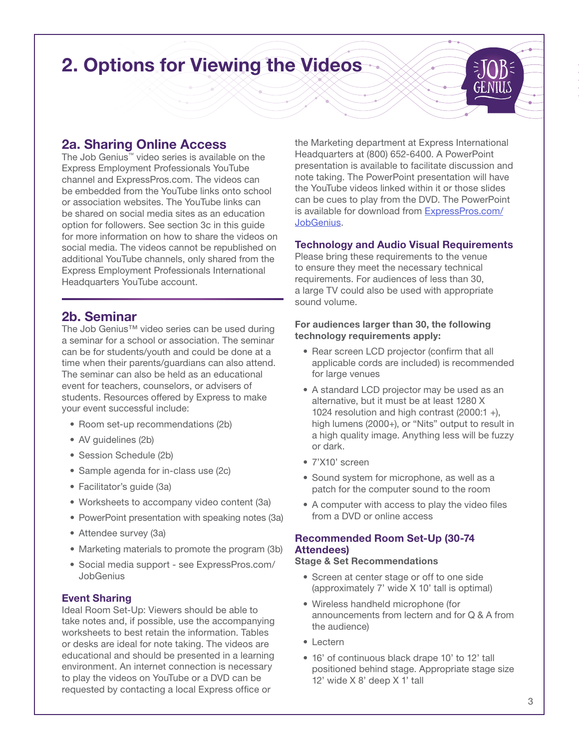# 2. Options for Viewing the Videos

### 2a. Sharing Online Access

The Job Genius™ video series is available on the Express Employment Professionals YouTube channel and ExpressPros.com. The videos can be embedded from the YouTube links onto school or association websites. The YouTube links can be shared on social media sites as an education option for followers. See section 3c in this guide for more information on how to share the videos on social media. The videos cannot be republished on additional YouTube channels, only shared from the Express Employment Professionals International Headquarters YouTube account.

### 2b. Seminar

The Job Genius™ video series can be used during a seminar for a school or association. The seminar can be for students/youth and could be done at a time when their parents/guardians can also attend. The seminar can also be held as an educational event for teachers, counselors, or advisers of students. Resources offered by Express to make your event successful include:

- Room set-up recommendations (2b)
- AV guidelines (2b)
- Session Schedule (2b)
- Sample agenda for in-class use (2c)
- Facilitator's guide (3a)
- Worksheets to accompany video content (3a)
- PowerPoint presentation with speaking notes (3a)
- Attendee survey (3a)
- Marketing materials to promote the program (3b)
- Social media support see ExpressPros.com/ **JobGenius**

#### Event Sharing

Ideal Room Set-Up: Viewers should be able to take notes and, if possible, use the accompanying worksheets to best retain the information. Tables or desks are ideal for note taking. The videos are educational and should be presented in a learning environment. An internet connection is necessary to play the videos on YouTube or a DVD can be requested by contacting a local Express office or

the Marketing department at Express International Headquarters at (800) 652-6400. A PowerPoint presentation is available to facilitate discussion and note taking. The PowerPoint presentation will have the YouTube videos linked within it or those slides can be cues to play from the DVD. The PowerPoint is available for download from [ExpressPros.com/](http://ExpressPros.com/JobGenius) [JobGenius.](http://ExpressPros.com/JobGenius)

#### Technology and Audio Visual Requirements

Please bring these requirements to the venue to ensure they meet the necessary technical requirements. For audiences of less than 30, a large TV could also be used with appropriate sound volume.

#### For audiences larger than 30, the following technology requirements apply:

- Rear screen LCD projector (confirm that all applicable cords are included) is recommended for large venues
- A standard LCD projector may be used as an alternative, but it must be at least 1280 X 1024 resolution and high contrast (2000:1 +), high lumens (2000+), or "Nits" output to result in a high quality image. Anything less will be fuzzy or dark.
- 7'X10' screen
- Sound system for microphone, as well as a patch for the computer sound to the room
- A computer with access to play the video files from a DVD or online access

#### Recommended Room Set-Up (30-74 Attendees)

#### Stage & Set Recommendations

- Screen at center stage or off to one side (approximately 7' wide X 10' tall is optimal)
- Wireless handheld microphone (for announcements from lectern and for Q & A from the audience)
- Lectern
- 16' of continuous black drape 10' to 12' tall positioned behind stage. Appropriate stage size 12' wide X 8' deep X 1' tall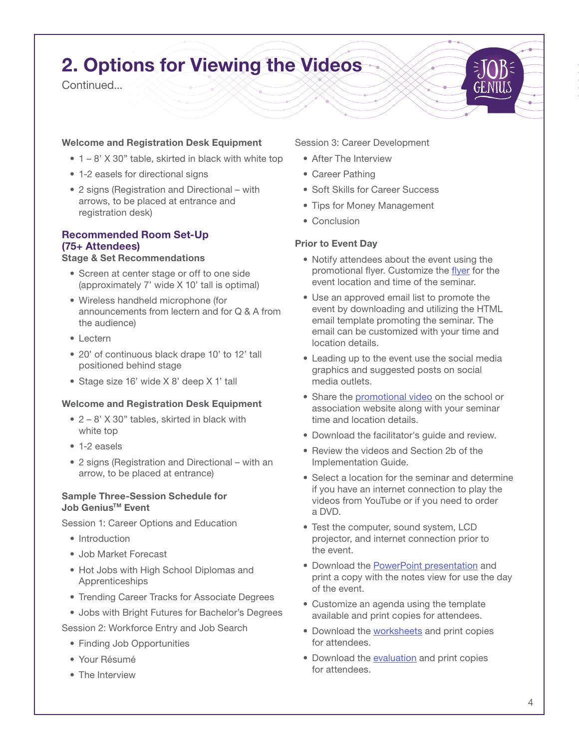# 2. Options for Viewing the Videos

**Continued.** 

#### Welcome and Registration Desk Equipment

- $\bullet$  1 8' X 30" table, skirted in black with white top
- 1-2 easels for directional signs
- 2 signs (Registration and Directional with arrows, to be placed at entrance and registration desk)

### Recommended Room Set-Up (75+ Attendees)

#### Stage & Set Recommendations

- Screen at center stage or off to one side (approximately 7' wide X 10' tall is optimal)
- Wireless handheld microphone (for announcements from lectern and for Q & A from the audience)
- Lectern
- 20' of continuous black drape 10' to 12' tall positioned behind stage
- Stage size 16' wide X 8' deep X 1' tall

#### Welcome and Registration Desk Equipment

- 2 8' X 30" tables, skirted in black with white top
- 1-2 easels
- 2 signs (Registration and Directional with an arrow, to be placed at entrance)

#### Sample Three-Session Schedule for Job Genius<sup>™</sup> Event

Session 1: Career Options and Education

- Introduction
- Job Market Forecast
- Hot Jobs with High School Diplomas and Apprenticeships
- Trending Career Tracks for Associate Degrees
- Jobs with Bright Futures for Bachelor's Degrees

Session 2: Workforce Entry and Job Search

- Finding Job Opportunities
- Your Résumé
- The Interview

Session 3: Career Development

- After The Interview
- Career Pathing
- Soft Skills for Career Success
- Tips for Money Management
- Conclusion

#### Prior to Event Day

- Notify attendees about the event using the promotional flyer. Customize the [flyer](https://expresspros.com/WorkArea/DownloadAsset.aspx?id=81731) for the event location and time of the seminar.
- Use an approved email list to promote the event by downloading and utilizing the HTML email template promoting the seminar. The email can be customized with your time and location details.
- Leading up to the event use the social media graphics and suggested posts on social media outlets.
- Share the [promotional video](https://youtu.be/rmOnCwxbj9s) on the school or association website along with your seminar time and location details.
- Download the facilitator's guide and review.
- Review the videos and Section 2b of the Implementation Guide.
- Select a location for the seminar and determine if you have an internet connection to play the videos from YouTube or if you need to order a DVD.
- Test the computer, sound system, LCD projector, and internet connection prior to the event.
- Download the **PowerPoint presentation** and print a copy with the notes view for use the day of the event.
- Customize an agenda using the template available and print copies for attendees.
- Download the [worksheets](https://expresspros.com/JGContent/) and print copies for attendees.
- Download the [evaluation](http://staging.expresspros.com/WorkArea/DownloadAsset.aspx?id=75729) and print copies for attendees.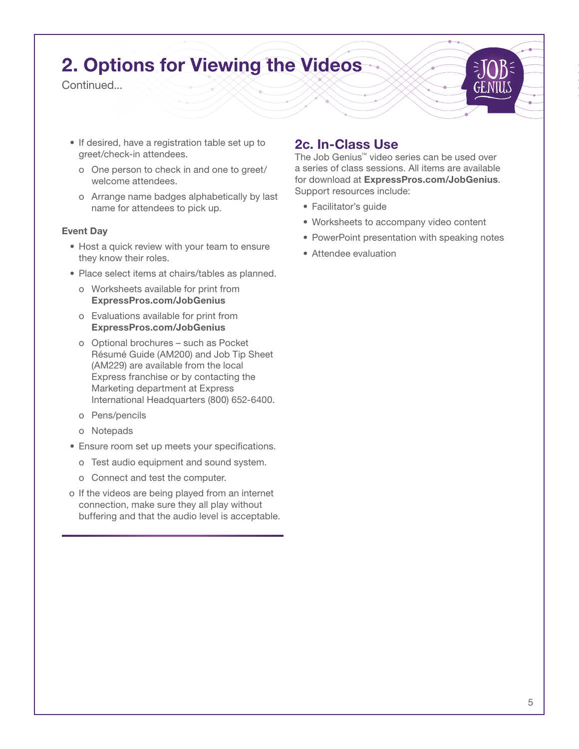# 2. Options for Viewing the Videos

**Continued.** 

- If desired, have a registration table set up to greet/check-in attendees.
	- o One person to check in and one to greet/ welcome attendees.
	- o Arrange name badges alphabetically by last name for attendees to pick up.

#### Event Day

- Host a quick review with your team to ensure they know their roles.
- Place select items at chairs/tables as planned.
	- o Worksheets available for print from ExpressPros.com/JobGenius
	- o Evaluations available for print from ExpressPros.com/JobGenius
	- o Optional brochures such as Pocket Résumé Guide (AM200) and Job Tip Sheet (AM229) are available from the local Express franchise or by contacting the Marketing department at Express International Headquarters (800) 652-6400.
	- o Pens/pencils
	- o Notepads
- Ensure room set up meets your specifications.
	- o Test audio equipment and sound system.
	- o Connect and test the computer.
- o If the videos are being played from an internet connection, make sure they all play without buffering and that the audio level is acceptable.

### 2c. In-Class Use

The Job Genius™ video series can be used over a series of class sessions. All items are available for download at ExpressPros.com/JobGenius. Support resources include:

- Facilitator's guide
- Worksheets to accompany video content
- PowerPoint presentation with speaking notes
- Attendee evaluation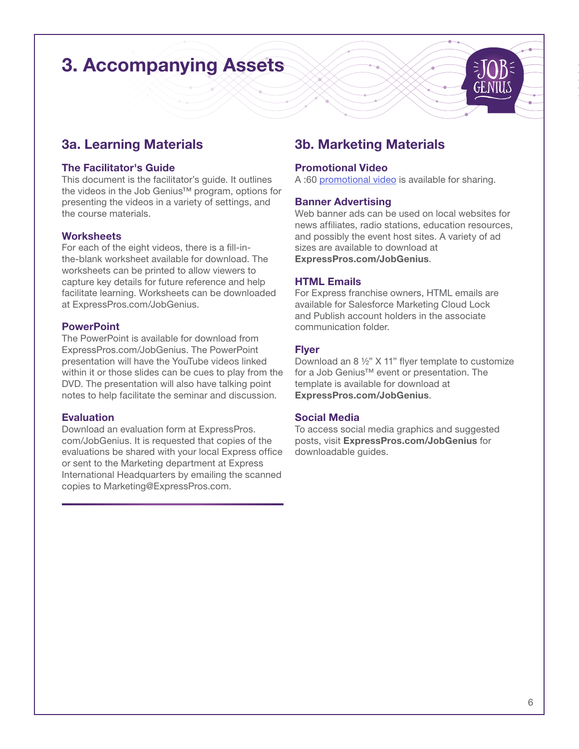# 3. Accompanying Assets

### 3a. Learning Materials

#### The Facilitator's Guide

This document is the facilitator's guide. It outlines the videos in the Job Genius™ program, options for presenting the videos in a variety of settings, and the course materials.

#### **Worksheets**

For each of the eight videos, there is a fill-inthe-blank worksheet available for download. The worksheets can be printed to allow viewers to capture key details for future reference and help facilitate learning. Worksheets can be downloaded at ExpressPros.com/JobGenius.

#### **PowerPoint**

The PowerPoint is available for download from ExpressPros.com/JobGenius. The PowerPoint presentation will have the YouTube videos linked within it or those slides can be cues to play from the DVD. The presentation will also have talking point notes to help facilitate the seminar and discussion.

#### **Evaluation**

Download an evaluation form at ExpressPros. com/JobGenius. It is requested that copies of the evaluations be shared with your local Express office or sent to the Marketing department at Express International Headquarters by emailing the scanned copies to Marketing@ExpressPros.com.

### 3b. Marketing Materials

#### Promotional Video

A :60 [promotional video](https://youtu.be/rmOnCwxbj9s) is available for sharing.

#### Banner Advertising

Web banner ads can be used on local websites for news affiliates, radio stations, education resources, and possibly the event host sites. A variety of ad sizes are available to download at ExpressPros.com/JobGenius.

#### HTML Emails

For Express franchise owners, HTML emails are available for Salesforce Marketing Cloud Lock and Publish account holders in the associate communication folder.

#### Flyer

Download an 8 ½" X 11" flyer template to customize for a Job Genius™ event or presentation. The template is available for download at ExpressPros.com/JobGenius.

#### Social Media

To access social media graphics and suggested posts, visit ExpressPros.com/JobGenius for downloadable guides.